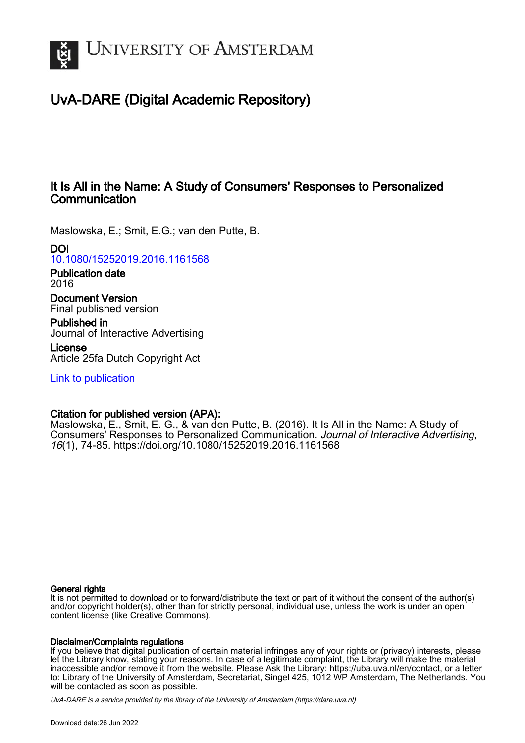

# UvA-DARE (Digital Academic Repository)

## It Is All in the Name: A Study of Consumers' Responses to Personalized **Communication**

Maslowska, E.; Smit, E.G.; van den Putte, B.

DOI

[10.1080/15252019.2016.1161568](https://doi.org/10.1080/15252019.2016.1161568)

Publication date 2016

Document Version Final published version

Published in Journal of Interactive Advertising

License Article 25fa Dutch Copyright Act

[Link to publication](https://dare.uva.nl/personal/pure/en/publications/it-is-all-in-the-name-a-study-of-consumers-responses-to-personalized-communication(bc67108a-c80b-4a12-8d76-c8be96953726).html)

## Citation for published version (APA):

Maslowska, E., Smit, E. G., & van den Putte, B. (2016). It Is All in the Name: A Study of Consumers' Responses to Personalized Communication. Journal of Interactive Advertising, 16(1), 74-85. <https://doi.org/10.1080/15252019.2016.1161568>

## General rights

It is not permitted to download or to forward/distribute the text or part of it without the consent of the author(s) and/or copyright holder(s), other than for strictly personal, individual use, unless the work is under an open content license (like Creative Commons).

## Disclaimer/Complaints regulations

If you believe that digital publication of certain material infringes any of your rights or (privacy) interests, please let the Library know, stating your reasons. In case of a legitimate complaint, the Library will make the material inaccessible and/or remove it from the website. Please Ask the Library: https://uba.uva.nl/en/contact, or a letter to: Library of the University of Amsterdam, Secretariat, Singel 425, 1012 WP Amsterdam, The Netherlands. You will be contacted as soon as possible.

UvA-DARE is a service provided by the library of the University of Amsterdam (http*s*://dare.uva.nl)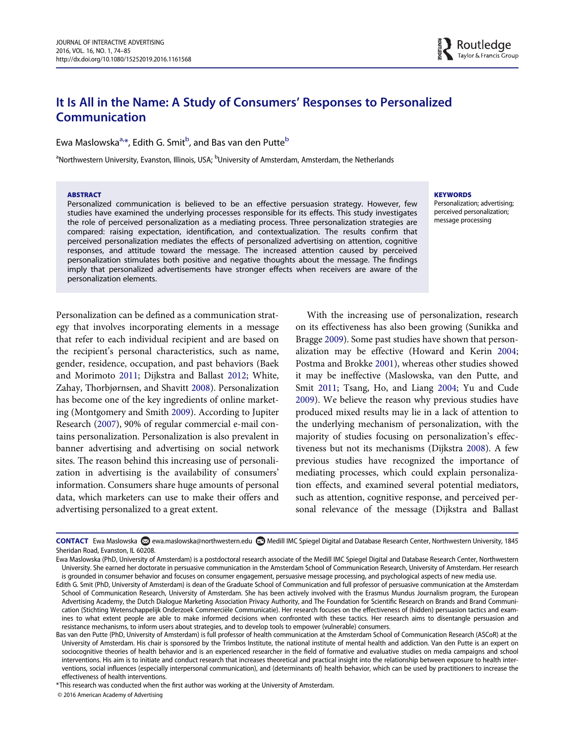## It Is All in the Name: A Study of Consumers' Responses to Personalized Communication

Ewa Maslowska<sup>a,</sup>[\\*,](#page-1-1) Edith G. Smit<sup>[b](#page-1-0)</sup>, and Bas van den Putte<sup>b</sup>

<span id="page-1-0"></span><sup>a</sup>Northwestern University, Evanston, Illinois, USA; <sup>b</sup>University of Amsterdam, Amsterdam, the Netherlands

#### **ARSTRACT**

Personalized communication is believed to be an effective persuasion strategy. However, few studies have examined the underlying processes responsible for its effects. This study investigates the role of perceived personalization as a mediating process. Three personalization strategies are compared: raising expectation, identification, and contextualization. The results confirm that perceived personalization mediates the effects of personalized advertising on attention, cognitive responses, and attitude toward the message. The increased attention caused by perceived personalization stimulates both positive and negative thoughts about the message. The findings imply that personalized advertisements have stronger effects when receivers are aware of the personalization elements.

Personalization can be defined as a communication strategy that involves incorporating elements in a message that refer to each individual recipient and are based on the recipient's personal characteristics, such as name, gender, residence, occupation, and past behaviors (Baek and Morimoto [2011;](#page-10-0) Dijkstra and Ballast [2012](#page-10-1); White, Zahay, Thorbjørnsen, and Shavitt [2008\)](#page-11-0). Personalization has become one of the key ingredients of online marketing (Montgomery and Smith [2009\)](#page-11-1). According to Jupiter Research ([2007\)](#page-10-2), 90% of regular commercial e-mail contains personalization. Personalization is also prevalent in banner advertising and advertising on social network sites. The reason behind this increasing use of personalization in advertising is the availability of consumers' information. Consumers share huge amounts of personal data, which marketers can use to make their offers and advertising personalized to a great extent.

**KEYWORDS** 

Personalization; advertising; perceived personalization; message processing

Routledge Taylor & Francis Group

With the increasing use of personalization, research on its effectiveness has also been growing (Sunikka and Bragge [2009\)](#page-11-2). Some past studies have shown that personalization may be effective (Howard and Kerin [2004;](#page-10-3) Postma and Brokke [2001\)](#page-11-3), whereas other studies showed it may be ineffective (Maslowska, van den Putte, and Smit [2011;](#page-11-4) Tsang, Ho, and Liang [2004](#page-11-5); Yu and Cude [2009\)](#page-11-6). We believe the reason why previous studies have produced mixed results may lie in a lack of attention to the underlying mechanism of personalization, with the majority of studies focusing on personalization's effectiveness but not its mechanisms (Dijkstra [2008\)](#page-10-4). A few previous studies have recognized the importance of mediating processes, which could explain personalization effects, and examined several potential mediators, such as attention, cognitive response, and perceived personal relevance of the message (Dijkstra and Ballast

<span id="page-1-1"></span>\*This research was conducted when the first author was working at the University of Amsterdam.

© 2016 American Academy of Advertising

CONTACT Ewa Maslowska @ewa.maslowska@northwestern.edu @Medill IMC Spiegel Digital and Database Research Center, Northwestern University, 1845 Sheridan Road, Evanston, IL 60208.

Ewa Maslowska (PhD, University of Amsterdam) is a postdoctoral research associate of the Medill IMC Spiegel Digital and Database Research Center, Northwestern University. She earned her doctorate in persuasive communication in the Amsterdam School of Communication Research, University of Amsterdam. Her research is grounded in consumer behavior and focuses on consumer engagement, persuasive message processing, and psychological aspects of new media use.

Edith G. Smit (PhD, University of Amsterdam) is dean of the Graduate School of Communication and full professor of persuasive communication at the Amsterdam School of Communication Research, University of Amsterdam. She has been actively involved with the Erasmus Mundus Journalism program, the European Advertising Academy, the Dutch Dialogue Marketing Association Privacy Authority, and The Foundation for Scientific Research on Brands and Brand Communication (Stichting Wetenschappelijk Onderzoek Commerciële Communicatie). Her research focuses on the effectiveness of (hidden) persuasion tactics and examines to what extent people are able to make informed decisions when confronted with these tactics. Her research aims to disentangle persuasion and resistance mechanisms, to inform users about strategies, and to develop tools to empower (vulnerable) consumers.

Bas van den Putte (PhD, University of Amsterdam) is full professor of health communication at the Amsterdam School of Communication Research (ASCoR) at the University of Amsterdam. His chair is sponsored by the Trimbos Institute, the national institute of mental health and addiction. Van den Putte is an expert on sociocognitive theories of health behavior and is an experienced researcher in the field of formative and evaluative studies on media campaigns and school interventions. His aim is to initiate and conduct research that increases theoretical and practical insight into the relationship between exposure to health interventions, social influences (especially interpersonal communication), and (determinants of) health behavior, which can be used by practitioners to increase the effectiveness of health interventions.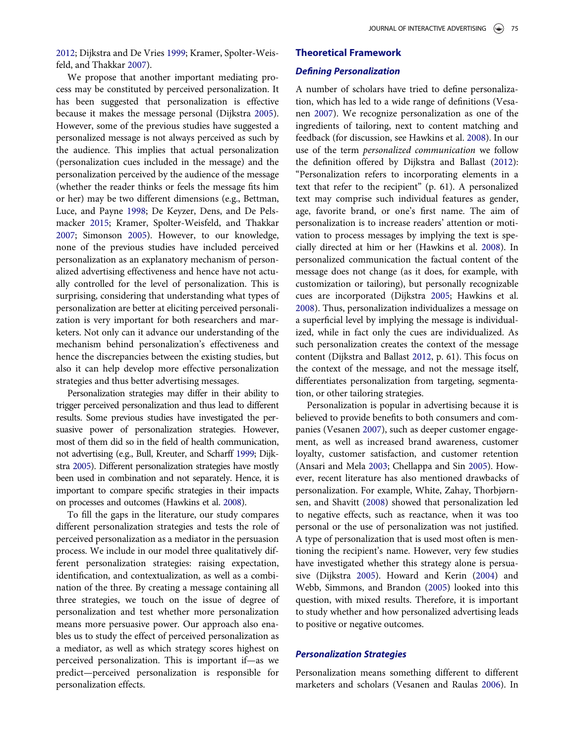[2012;](#page-10-1) Dijkstra and De Vries [1999;](#page-10-5) Kramer, Spolter-Weisfeld, and Thakkar [2007\)](#page-10-6).

We propose that another important mediating process may be constituted by perceived personalization. It has been suggested that personalization is effective because it makes the message personal (Dijkstra [2005](#page-10-7)). However, some of the previous studies have suggested a personalized message is not always perceived as such by the audience. This implies that actual personalization (personalization cues included in the message) and the personalization perceived by the audience of the message (whether the reader thinks or feels the message fits him or her) may be two different dimensions (e.g., Bettman, Luce, and Payne [1998](#page-10-8); De Keyzer, Dens, and De Pelsmacker [2015;](#page-10-9) Kramer, Spolter-Weisfeld, and Thakkar [2007;](#page-10-6) Simonson [2005](#page-11-7)). However, to our knowledge, none of the previous studies have included perceived personalization as an explanatory mechanism of personalized advertising effectiveness and hence have not actually controlled for the level of personalization. This is surprising, considering that understanding what types of personalization are better at eliciting perceived personalization is very important for both researchers and marketers. Not only can it advance our understanding of the mechanism behind personalization's effectiveness and hence the discrepancies between the existing studies, but also it can help develop more effective personalization strategies and thus better advertising messages.

Personalization strategies may differ in their ability to trigger perceived personalization and thus lead to different results. Some previous studies have investigated the persuasive power of personalization strategies. However, most of them did so in the field of health communication, not advertising (e.g., Bull, Kreuter, and Scharff [1999;](#page-10-10) Dijkstra [2005\)](#page-10-7). Different personalization strategies have mostly been used in combination and not separately. Hence, it is important to compare specific strategies in their impacts on processes and outcomes (Hawkins et al. [2008](#page-10-11)).

To fill the gaps in the literature, our study compares different personalization strategies and tests the role of perceived personalization as a mediator in the persuasion process. We include in our model three qualitatively different personalization strategies: raising expectation, identification, and contextualization, as well as a combination of the three. By creating a message containing all three strategies, we touch on the issue of degree of personalization and test whether more personalization means more persuasive power. Our approach also enables us to study the effect of perceived personalization as a mediator, as well as which strategy scores highest on perceived personalization. This is important if—as we predict—perceived personalization is responsible for personalization effects.

## Theoretical Framework

#### Defining Personalization

A number of scholars have tried to define personalization, which has led to a wide range of definitions (Vesanen [2007\)](#page-11-8). We recognize personalization as one of the ingredients of tailoring, next to content matching and feedback (for discussion, see Hawkins et al. [2008](#page-10-11)). In our use of the term personalized communication we follow the definition offered by Dijkstra and Ballast [\(2012](#page-10-1)): "Personalization refers to incorporating elements in a text that refer to the recipient" (p. 61). A personalized text may comprise such individual features as gender, age, favorite brand, or one's first name. The aim of personalization is to increase readers' attention or motivation to process messages by implying the text is specially directed at him or her (Hawkins et al. [2008\)](#page-10-11). In personalized communication the factual content of the message does not change (as it does, for example, with customization or tailoring), but personally recognizable cues are incorporated (Dijkstra [2005](#page-10-7); Hawkins et al. [2008\)](#page-10-11). Thus, personalization individualizes a message on a superficial level by implying the message is individualized, while in fact only the cues are individualized. As such personalization creates the context of the message content (Dijkstra and Ballast [2012](#page-10-1), p. 61). This focus on the context of the message, and not the message itself, differentiates personalization from targeting, segmentation, or other tailoring strategies.

Personalization is popular in advertising because it is believed to provide benefits to both consumers and companies (Vesanen [2007](#page-11-8)), such as deeper customer engagement, as well as increased brand awareness, customer loyalty, customer satisfaction, and customer retention (Ansari and Mela [2003;](#page-10-12) Chellappa and Sin [2005](#page-10-13)). However, recent literature has also mentioned drawbacks of personalization. For example, White, Zahay, Thorbjørnsen, and Shavitt ([2008\)](#page-11-0) showed that personalization led to negative effects, such as reactance, when it was too personal or the use of personalization was not justified. A type of personalization that is used most often is mentioning the recipient's name. However, very few studies have investigated whether this strategy alone is persuasive (Dijkstra [2005\)](#page-10-7). Howard and Kerin ([2004\)](#page-10-3) and Webb, Simmons, and Brandon [\(2005](#page-11-9)) looked into this question, with mixed results. Therefore, it is important to study whether and how personalized advertising leads to positive or negative outcomes.

## Personalization Strategies

Personalization means something different to different marketers and scholars (Vesanen and Raulas [2006](#page-11-10)). In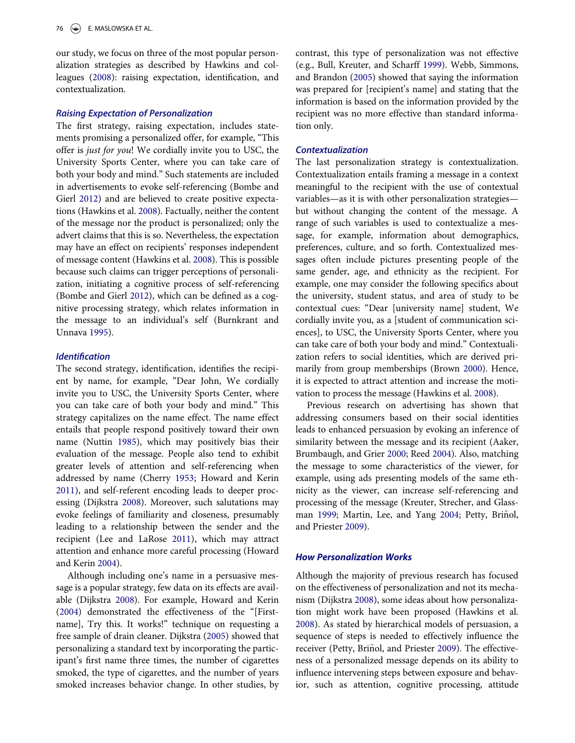our study, we focus on three of the most popular personalization strategies as described by Hawkins and colleagues ([2008\)](#page-10-11): raising expectation, identification, and contextualization.

#### Raising Expectation of Personalization

The first strategy, raising expectation, includes statements promising a personalized offer, for example, "This offer is just for you! We cordially invite you to USC, the University Sports Center, where you can take care of both your body and mind." Such statements are included in advertisements to evoke self-referencing (Bombe and Gierl [2012](#page-10-14)) and are believed to create positive expectations (Hawkins et al. [2008](#page-10-11)). Factually, neither the content of the message nor the product is personalized; only the advert claims that this is so. Nevertheless, the expectation may have an effect on recipients' responses independent of message content (Hawkins et al. [2008\)](#page-10-11). This is possible because such claims can trigger perceptions of personalization, initiating a cognitive process of self-referencing (Bombe and Gierl [2012\)](#page-10-14), which can be defined as a cognitive processing strategy, which relates information in the message to an individual's self (Burnkrant and Unnava [1995](#page-10-15)).

#### **Identification**

The second strategy, identification, identifies the recipient by name, for example, "Dear John, We cordially invite you to USC, the University Sports Center, where you can take care of both your body and mind." This strategy capitalizes on the name effect. The name effect entails that people respond positively toward their own name (Nuttin [1985](#page-11-11)), which may positively bias their evaluation of the message. People also tend to exhibit greater levels of attention and self-referencing when addressed by name (Cherry [1953;](#page-10-16) Howard and Kerin [2011\)](#page-10-17), and self-referent encoding leads to deeper processing (Dijkstra [2008](#page-10-4)). Moreover, such salutations may evoke feelings of familiarity and closeness, presumably leading to a relationship between the sender and the recipient (Lee and LaRose [2011\)](#page-10-18), which may attract attention and enhance more careful processing (Howard and Kerin [2004\)](#page-10-3).

Although including one's name in a persuasive message is a popular strategy, few data on its effects are available (Dijkstra [2008\)](#page-10-4). For example, Howard and Kerin [\(2004](#page-10-3)) demonstrated the effectiveness of the "[Firstname], Try this. It works!" technique on requesting a free sample of drain cleaner. Dijkstra [\(2005](#page-10-7)) showed that personalizing a standard text by incorporating the participant's first name three times, the number of cigarettes smoked, the type of cigarettes, and the number of years smoked increases behavior change. In other studies, by contrast, this type of personalization was not effective (e.g., Bull, Kreuter, and Scharff [1999](#page-10-10)). Webb, Simmons, and Brandon [\(2005\)](#page-11-9) showed that saying the information was prepared for [recipient's name] and stating that the information is based on the information provided by the recipient was no more effective than standard information only.

#### **Contextualization**

The last personalization strategy is contextualization. Contextualization entails framing a message in a context meaningful to the recipient with the use of contextual variables—as it is with other personalization strategies but without changing the content of the message. A range of such variables is used to contextualize a message, for example, information about demographics, preferences, culture, and so forth. Contextualized messages often include pictures presenting people of the same gender, age, and ethnicity as the recipient. For example, one may consider the following specifics about the university, student status, and area of study to be contextual cues: "Dear [university name] student, We cordially invite you, as a [student of communication sciences], to USC, the University Sports Center, where you can take care of both your body and mind." Contextualization refers to social identities, which are derived primarily from group memberships (Brown [2000\)](#page-10-19). Hence, it is expected to attract attention and increase the motivation to process the message (Hawkins et al. [2008](#page-10-11)).

Previous research on advertising has shown that addressing consumers based on their social identities leads to enhanced persuasion by evoking an inference of similarity between the message and its recipient (Aaker, Brumbaugh, and Grier [2000](#page-9-0); Reed [2004\)](#page-11-12). Also, matching the message to some characteristics of the viewer, for example, using ads presenting models of the same ethnicity as the viewer, can increase self-referencing and processing of the message (Kreuter, Strecher, and Glass-man [1999](#page-10-20); Martin, Lee, and Yang [2004;](#page-11-13) Petty, Briñol, and Priester [2009\)](#page-11-14).

#### How Personalization Works

Although the majority of previous research has focused on the effectiveness of personalization and not its mechanism (Dijkstra [2008\)](#page-10-4), some ideas about how personalization might work have been proposed (Hawkins et al. [2008\)](#page-10-11). As stated by hierarchical models of persuasion, a sequence of steps is needed to effectively influence the receiver (Petty, Briñol, and Priester [2009\)](#page-11-14). The effectiveness of a personalized message depends on its ability to influence intervening steps between exposure and behavior, such as attention, cognitive processing, attitude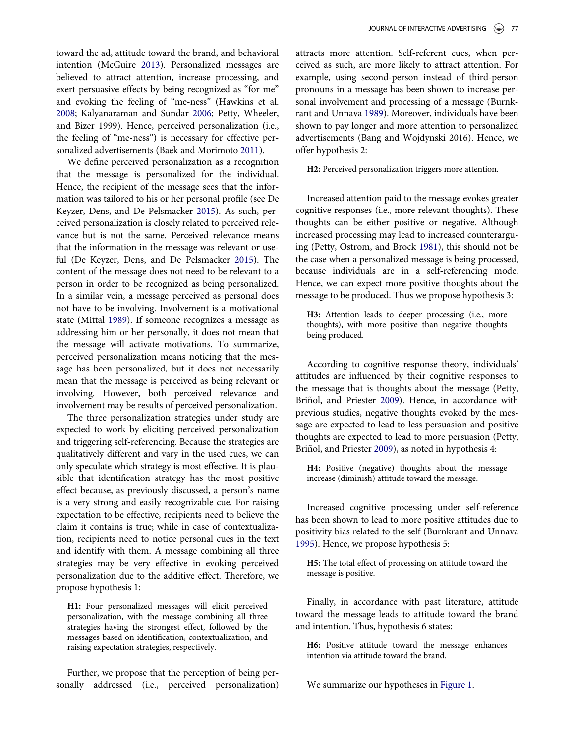toward the ad, attitude toward the brand, and behavioral intention (McGuire [2013](#page-11-15)). Personalized messages are believed to attract attention, increase processing, and exert persuasive effects by being recognized as "for me" and evoking the feeling of "me-ness" (Hawkins et al. [2008;](#page-10-11) Kalyanaraman and Sundar [2006](#page-10-21); Petty, Wheeler, and Bizer 1999). Hence, perceived personalization (i.e., the feeling of "me-ness") is necessary for effective personalized advertisements (Baek and Morimoto [2011](#page-10-0)).

We define perceived personalization as a recognition that the message is personalized for the individual. Hence, the recipient of the message sees that the information was tailored to his or her personal profile (see De Keyzer, Dens, and De Pelsmacker [2015](#page-10-9)). As such, perceived personalization is closely related to perceived relevance but is not the same. Perceived relevance means that the information in the message was relevant or useful (De Keyzer, Dens, and De Pelsmacker [2015\)](#page-10-9). The content of the message does not need to be relevant to a person in order to be recognized as being personalized. In a similar vein, a message perceived as personal does not have to be involving. Involvement is a motivational state (Mittal [1989](#page-11-16)). If someone recognizes a message as addressing him or her personally, it does not mean that the message will activate motivations. To summarize, perceived personalization means noticing that the message has been personalized, but it does not necessarily mean that the message is perceived as being relevant or involving. However, both perceived relevance and involvement may be results of perceived personalization.

The three personalization strategies under study are expected to work by eliciting perceived personalization and triggering self-referencing. Because the strategies are qualitatively different and vary in the used cues, we can only speculate which strategy is most effective. It is plausible that identification strategy has the most positive effect because, as previously discussed, a person's name is a very strong and easily recognizable cue. For raising expectation to be effective, recipients need to believe the claim it contains is true; while in case of contextualization, recipients need to notice personal cues in the text and identify with them. A message combining all three strategies may be very effective in evoking perceived personalization due to the additive effect. Therefore, we propose hypothesis 1:

H1: Four personalized messages will elicit perceived personalization, with the message combining all three strategies having the strongest effect, followed by the messages based on identification, contextualization, and raising expectation strategies, respectively.

Further, we propose that the perception of being personally addressed (i.e., perceived personalization) attracts more attention. Self-referent cues, when perceived as such, are more likely to attract attention. For example, using second-person instead of third-person pronouns in a message has been shown to increase personal involvement and processing of a message (Burnkrant and Unnava [1989](#page-10-22)). Moreover, individuals have been shown to pay longer and more attention to personalized advertisements (Bang and Wojdynski 2016). Hence, we offer hypothesis 2:

H2: Perceived personalization triggers more attention.

Increased attention paid to the message evokes greater cognitive responses (i.e., more relevant thoughts). These thoughts can be either positive or negative. Although increased processing may lead to increased counterarguing (Petty, Ostrom, and Brock [1981](#page-11-17)), this should not be the case when a personalized message is being processed, because individuals are in a self-referencing mode. Hence, we can expect more positive thoughts about the message to be produced. Thus we propose hypothesis 3:

H3: Attention leads to deeper processing (i.e., more thoughts), with more positive than negative thoughts being produced.

According to cognitive response theory, individuals' attitudes are influenced by their cognitive responses to the message that is thoughts about the message (Petty, Briñol, and Priester [2009](#page-11-14)). Hence, in accordance with previous studies, negative thoughts evoked by the message are expected to lead to less persuasion and positive thoughts are expected to lead to more persuasion (Petty, Briñol, and Priester [2009\)](#page-11-14), as noted in hypothesis 4:

H4: Positive (negative) thoughts about the message increase (diminish) attitude toward the message.

Increased cognitive processing under self-reference has been shown to lead to more positive attitudes due to positivity bias related to the self (Burnkrant and Unnava [1995\)](#page-10-15). Hence, we propose hypothesis 5:

H5: The total effect of processing on attitude toward the message is positive.

Finally, in accordance with past literature, attitude toward the message leads to attitude toward the brand and intention. Thus, hypothesis 6 states:

H6: Positive attitude toward the message enhances intention via attitude toward the brand.

We summarize our hypotheses in [Figure 1.](#page-5-0)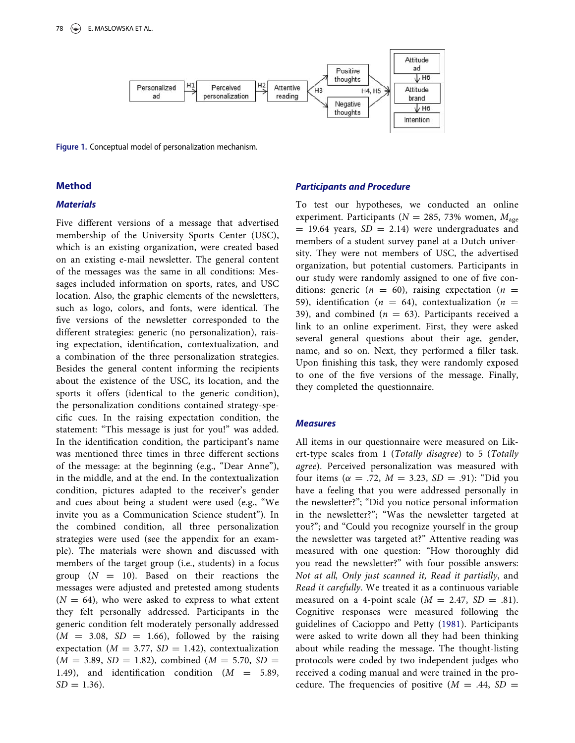

<span id="page-5-0"></span>Figure 1. Conceptual model of personalization mechanism.

## Method

#### **Materials**

Five different versions of a message that advertised membership of the University Sports Center (USC), which is an existing organization, were created based on an existing e-mail newsletter. The general content of the messages was the same in all conditions: Messages included information on sports, rates, and USC location. Also, the graphic elements of the newsletters, such as logo, colors, and fonts, were identical. The five versions of the newsletter corresponded to the different strategies: generic (no personalization), raising expectation, identification, contextualization, and a combination of the three personalization strategies. Besides the general content informing the recipients about the existence of the USC, its location, and the sports it offers (identical to the generic condition), the personalization conditions contained strategy-specific cues. In the raising expectation condition, the statement: "This message is just for you!" was added. In the identification condition, the participant's name was mentioned three times in three different sections of the message: at the beginning (e.g., "Dear Anne"), in the middle, and at the end. In the contextualization condition, pictures adapted to the receiver's gender and cues about being a student were used (e.g., "We invite you as a Communication Science student"). In the combined condition, all three personalization strategies were used (see the appendix for an example). The materials were shown and discussed with members of the target group (i.e., students) in a focus group  $(N = 10)$ . Based on their reactions the messages were adjusted and pretested among students  $(N = 64)$ , who were asked to express to what extent they felt personally addressed. Participants in the generic condition felt moderately personally addressed  $(M = 3.08, SD = 1.66)$ , followed by the raising expectation ( $M = 3.77$ ,  $SD = 1.42$ ), contextualization  $(M = 3.89, SD = 1.82)$ , combined  $(M = 5.70, SD =$ 1.49), and identification condition  $(M = 5.89,$  $SD = 1.36$ .

#### Participants and Procedure

To test our hypotheses, we conducted an online experiment. Participants ( $N = 285, 73\%$  women,  $M_{\text{age}}$  $=$  19.64 years, SD  $=$  2.14) were undergraduates and members of a student survey panel at a Dutch university. They were not members of USC, the advertised organization, but potential customers. Participants in our study were randomly assigned to one of five conditions: generic ( $n = 60$ ), raising expectation ( $n =$ 59), identification ( $n = 64$ ), contextualization ( $n =$ 39), and combined ( $n = 63$ ). Participants received a link to an online experiment. First, they were asked several general questions about their age, gender, name, and so on. Next, they performed a filler task. Upon finishing this task, they were randomly exposed to one of the five versions of the message. Finally, they completed the questionnaire.

### **Measures**

All items in our questionnaire were measured on Likert-type scales from 1 (Totally disagree) to 5 (Totally agree). Perceived personalization was measured with four items ( $\alpha = .72$ ,  $M = 3.23$ ,  $SD = .91$ ): "Did you have a feeling that you were addressed personally in the newsletter?"; "Did you notice personal information in the newsletter?"; "Was the newsletter targeted at you?"; and "Could you recognize yourself in the group the newsletter was targeted at?" Attentive reading was measured with one question: "How thoroughly did you read the newsletter?" with four possible answers: Not at all, Only just scanned it, Read it partially, and Read it carefully. We treated it as a continuous variable measured on a 4-point scale  $(M = 2.47, SD = .81)$ . Cognitive responses were measured following the guidelines of Cacioppo and Petty [\(1981\)](#page-10-23). Participants were asked to write down all they had been thinking about while reading the message. The thought-listing protocols were coded by two independent judges who received a coding manual and were trained in the procedure. The frequencies of positive  $(M = .44, SD =$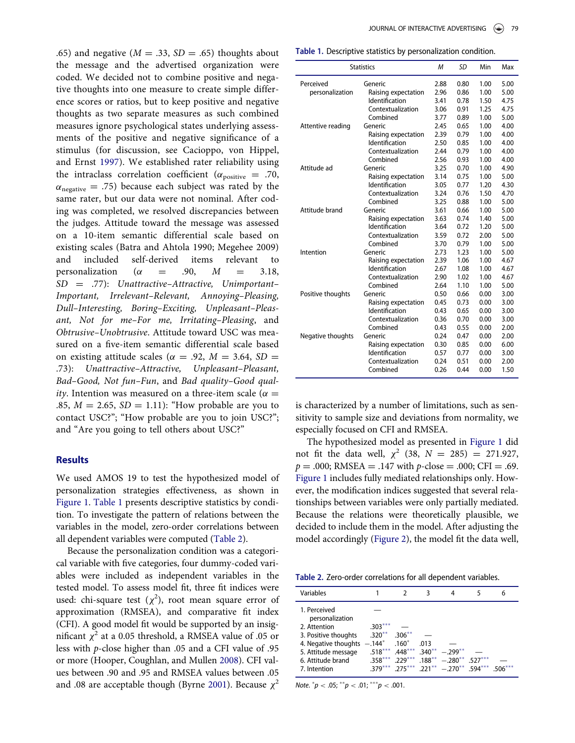<span id="page-6-0"></span>.65) and negative ( $M = .33$ ,  $SD = .65$ ) thoughts about the message and the advertised organization were coded. We decided not to combine positive and negative thoughts into one measure to create simple difference scores or ratios, but to keep positive and negative thoughts as two separate measures as such combined measures ignore psychological states underlying assessments of the positive and negative significance of a stimulus (for discussion, see Cacioppo, von Hippel, and Ernst [1997\)](#page-10-24). We established rater reliability using the intraclass correlation coefficient ( $\alpha_{\text{positive}} = .70$ ,  $\alpha_{\text{negative}} = .75$ ) because each subject was rated by the same rater, but our data were not nominal. After coding was completed, we resolved discrepancies between the judges. Attitude toward the message was assessed on a 10-item semantic differential scale based on existing scales (Batra and Ahtola 1990; Megehee 2009) and included self-derived items relevant to personalization ( $\alpha$  = .90,  $M$  = 3.18,  $SD = .77$ : Unattractive–Attractive, Unimportant– Important, Irrelevant–Relevant, Annoying–Pleasing, Dull–Interesting, Boring–Exciting, Unpleasant–Pleasant, Not for me–For me, Irritating–Pleasing, and Obtrusive–Unobtrusive. Attitude toward USC was measured on a five-item semantic differential scale based on existing attitude scales ( $\alpha$  = .92, *M* = 3.64, *SD* = .73): Unattractive–Attractive, Unpleasant–Pleasant, Bad–Good, Not fun–Fun, and Bad quality–Good qual*ity*. Intention was measured on a three-item scale ( $\alpha =$ .85,  $M = 2.65$ ,  $SD = 1.11$ ): "How probable are you to contact USC?"; "How probable are you to join USC?"; and "Are you going to tell others about USC?"

### **Results**

We used AMOS 19 to test the hypothesized model of personalization strategies effectiveness, as shown in [Figure 1](#page-5-0). [Table 1](#page-6-0) presents descriptive statistics by condition. To investigate the pattern of relations between the variables in the model, zero-order correlations between all dependent variables were computed ([Table 2](#page-6-1)).

<span id="page-6-1"></span>Because the personalization condition was a categorical variable with five categories, four dummy-coded variables were included as independent variables in the tested model. To assess model fit, three fit indices were used: chi-square test  $(\chi^2)$ , root mean square error of approximation (RMSEA), and comparative fit index (CFI). A good model fit would be supported by an insignificant  $\chi^2$  at a 0.05 threshold, a RMSEA value of .05 or less with p-close higher than .05 and a CFI value of .95 or more (Hooper, Coughlan, and Mullen [2008](#page-10-25)). CFI values between .90 and .95 and RMSEA values between .05 and .08 are acceptable though (Byrne [2001\)](#page-10-26). Because  $\chi^2$ 

| Table 1. Descriptive statistics by personalization condition. |  |  |
|---------------------------------------------------------------|--|--|
|                                                               |  |  |

| <b>Statistics</b> |                       | M    | SD   | Min  | Max  |
|-------------------|-----------------------|------|------|------|------|
| Perceived         | Generic               | 2.88 | 0.80 | 1.00 | 5.00 |
| personalization   | Raising expectation   | 2.96 | 0.86 | 1.00 | 5.00 |
|                   | Identification        | 3.41 | 0.78 | 1.50 | 4.75 |
|                   | Contextualization     | 3.06 | 0.91 | 1.25 | 4.75 |
|                   | Combined              | 3.77 | 0.89 | 1.00 | 5.00 |
| Attentive reading | Generic               | 2.45 | 0.65 | 1.00 | 4.00 |
|                   | Raising expectation   | 2.39 | 0.79 | 1.00 | 4.00 |
|                   | Identification        | 2.50 | 0.85 | 1.00 | 4.00 |
|                   | Contextualization     | 2.44 | 0.79 | 1.00 | 4.00 |
|                   | Combined              | 2.56 | 0.93 | 1.00 | 4.00 |
| Attitude ad       | Generic               | 3.25 | 0.70 | 1.00 | 4.90 |
|                   | Raising expectation   | 3.14 | 0.75 | 1.00 | 5.00 |
|                   | <b>Identification</b> | 3.05 | 0.77 | 1.20 | 4.30 |
|                   | Contextualization     | 3.24 | 0.76 | 1.50 | 4.70 |
|                   | Combined              | 3.25 | 0.88 | 1.00 | 5.00 |
| Attitude brand    | Generic               | 3.61 | 0.66 | 1.00 | 5.00 |
|                   | Raising expectation   | 3.63 | 0.74 | 1.40 | 5.00 |
|                   | Identification        | 3.64 | 0.72 | 1.20 | 5.00 |
|                   | Contextualization     | 3.59 | 0.72 | 2.00 | 5.00 |
|                   | Combined              | 3.70 | 0.79 | 1.00 | 5.00 |
| Intention         | Generic               | 2.73 | 1.23 | 1.00 | 5.00 |
|                   | Raising expectation   | 2.39 | 1.06 | 1.00 | 4.67 |
|                   | Identification        | 2.67 | 1.08 | 1.00 | 4.67 |
|                   | Contextualization     | 2.90 | 1.02 | 1.00 | 4.67 |
|                   | Combined              | 2.64 | 1.10 | 1.00 | 5.00 |
| Positive thoughts | Generic               | 0.50 | 0.66 | 0.00 | 3.00 |
|                   | Raising expectation   | 0.45 | 0.73 | 0.00 | 3.00 |
|                   | Identification        | 0.43 | 0.65 | 0.00 | 3.00 |
|                   | Contextualization     | 0.36 | 0.70 | 0.00 | 3.00 |
|                   | Combined              | 0.43 | 0.55 | 0.00 | 2.00 |
| Negative thoughts | Generic               | 0.24 | 0.47 | 0.00 | 2.00 |
|                   | Raising expectation   | 0.30 | 0.85 | 0.00 | 6.00 |
|                   | Identification        | 0.57 | 0.77 | 0.00 | 3.00 |
|                   | Contextualization     | 0.24 | 0.51 | 0.00 | 2.00 |
|                   | Combined              | 0.26 | 0.44 | 0.00 | 1.50 |

is characterized by a number of limitations, such as sensitivity to sample size and deviations from normality, we especially focused on CFI and RMSEA.

The hypothesized model as presented in [Figure 1](#page-5-0) did not fit the data well,  $\chi^2$  (38,  $N = 285$ ) = 271.927,  $p = .000$ ; RMSEA = .147 with  $p$ -close = .000; CFI = .69. [Figure 1](#page-5-0) includes fully mediated relationships only. However, the modification indices suggested that several relationships between variables were only partially mediated. Because the relations were theoretically plausible, we decided to include them in the model. After adjusting the model accordingly [\(Figure 2\)](#page-7-0), the model fit the data well,

Table 2. Zero-order correlations for all dependent variables.

| Variables                       |                             |                             | 3    | 4                                                 | 6 |
|---------------------------------|-----------------------------|-----------------------------|------|---------------------------------------------------|---|
| 1. Perceived<br>personalization |                             |                             |      |                                                   |   |
| 2. Attention                    | $.303***$                   |                             |      |                                                   |   |
| 3. Positive thoughts            | $.320**$                    | $.306***$                   |      |                                                   |   |
| 4. Negative thoughts            | $-.144^*$ .160 <sup>*</sup> |                             | .013 |                                                   |   |
| 5. Attitude message             | $.518***$                   | $.448***$ 340 <sup>**</sup> |      | $-299**$                                          |   |
| 6. Attitude brand               | $.358***$                   | $229***$                    |      | $.188^{**} - .280^{**}$ .527***                   |   |
| 7. Intention                    |                             |                             |      | $.379***$ $.275***$ $.221***$ $-.270**$ $.594***$ |   |

Note.  $^*p < .05;$   $^{**}p < .01;$   $^{***}p < .001.$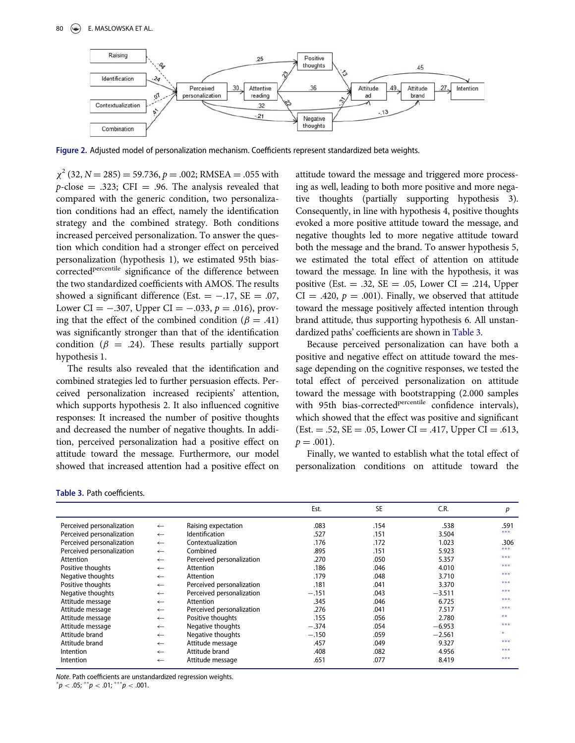<span id="page-7-0"></span>

Figure 2. Adjusted model of personalization mechanism. Coefficients represent standardized beta weights.

 $\chi^2$  (32, N = 285) = 59.736, p = .002; RMSEA = .055 with  $p$ -close = .323; CFI = .96. The analysis revealed that compared with the generic condition, two personalization conditions had an effect, namely the identification strategy and the combined strategy. Both conditions increased perceived personalization. To answer the question which condition had a stronger effect on perceived personalization (hypothesis 1), we estimated 95th biascorrected<sup>percentile</sup> significance of the difference between the two standardized coefficients with AMOS. The results showed a significant difference (Est.  $= -.17$ , SE  $= .07$ , Lower CI =  $-.307$ , Upper CI =  $-.033$ ,  $p = .016$ ), proving that the effect of the combined condition ( $\beta = .41$ ) was significantly stronger than that of the identification condition ( $\beta$  = .24). These results partially support hypothesis 1.

The results also revealed that the identification and combined strategies led to further persuasion effects. Perceived personalization increased recipients' attention, which supports hypothesis 2. It also influenced cognitive responses: It increased the number of positive thoughts and decreased the number of negative thoughts. In addition, perceived personalization had a positive effect on attitude toward the message. Furthermore, our model showed that increased attention had a positive effect on attitude toward the message and triggered more processing as well, leading to both more positive and more negative thoughts (partially supporting hypothesis 3). Consequently, in line with hypothesis 4, positive thoughts evoked a more positive attitude toward the message, and negative thoughts led to more negative attitude toward both the message and the brand. To answer hypothesis 5, we estimated the total effect of attention on attitude toward the message. In line with the hypothesis, it was positive (Est.  $= .32$ , SE  $= .05$ , Lower CI  $= .214$ , Upper  $CI = .420$ ,  $p = .001$ ). Finally, we observed that attitude toward the message positively affected intention through brand attitude, thus supporting hypothesis 6. All unstandardized paths' coefficients are shown in [Table 3.](#page-7-1)

Because perceived personalization can have both a positive and negative effect on attitude toward the message depending on the cognitive responses, we tested the total effect of perceived personalization on attitude toward the message with bootstrapping (2.000 samples with 95th bias-corrected<sup>percentile</sup> confidence intervals), which showed that the effect was positive and significant  $(Est. = .52, SE = .05, Lower CI = .417, Upper CI = .613,$  $p = .001$ ).

Finally, we wanted to establish what the total effect of personalization conditions on attitude toward the

<span id="page-7-1"></span>

|  | <b>Table 3. Path coefficients.</b> |
|--|------------------------------------|
|  |                                    |

|                           |              |                           | Est.    | <b>SE</b> | C.R.     | р     |
|---------------------------|--------------|---------------------------|---------|-----------|----------|-------|
| Perceived personalization | $\leftarrow$ | Raising expectation       | .083    | .154      | .538     | .591  |
| Perceived personalization | $\leftarrow$ | <b>Identification</b>     | .527    | .151      | 3.504    | $***$ |
| Perceived personalization | $\leftarrow$ | Contextualization         | .176    | .172      | 1.023    | .306  |
| Perceived personalization | $\leftarrow$ | Combined                  | .895    | .151      | 5.923    | ***   |
| Attention                 | $\leftarrow$ | Perceived personalization | .270    | .050      | 5.357    | ***   |
| Positive thoughts         | $\leftarrow$ | Attention                 | .186    | .046      | 4.010    | ***   |
| Negative thoughts         | $\leftarrow$ | Attention                 | .179    | .048      | 3.710    | $***$ |
| Positive thoughts         | $\leftarrow$ | Perceived personalization | .181    | .041      | 3.370    | $***$ |
| Negative thoughts         | $\leftarrow$ | Perceived personalization | $-.151$ | .043      | $-3.511$ | $***$ |
| Attitude message          | $\leftarrow$ | Attention                 | .345    | .046      | 6.725    | $***$ |
| Attitude message          | $\leftarrow$ | Perceived personalization | .276    | .041      | 7.517    | $***$ |
| Attitude message          | $\leftarrow$ | Positive thoughts         | .155    | .056      | 2.780    | **    |
| Attitude message          | $\leftarrow$ | Negative thoughts         | $-.374$ | .054      | $-6.953$ | $***$ |
| Attitude brand            | $\leftarrow$ | Negative thoughts         | $-.150$ | .059      | $-2.561$ | ×.    |
| Attitude brand            | $\leftarrow$ | Attitude message          | .457    | .049      | 9.327    | ***   |
| Intention                 | $\leftarrow$ | Attitude brand            | .408    | .082      | 4.956    | ***   |
| Intention                 | $\leftarrow$ | Attitude message          | .651    | .077      | 8.419    | $***$ |

Note. Path coefficients are unstandardized regression weights.

 $^*p <$  .05;  $^{\ast\ast}p <$  .01;  $^{\ast\ast\ast}p <$  .001.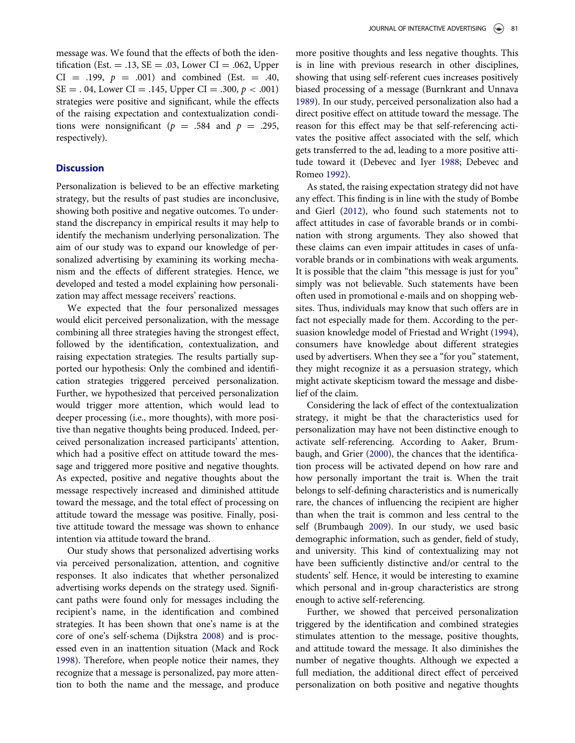message was. We found that the effects of both the identification (Est.  $= .13$ , SE  $= .03$ , Lower CI  $= .062$ , Upper CI = .199,  $p = .001$ ) and combined (Est. = .40,  $SE = .04$ , Lower CI = .145, Upper CI = .300,  $p < .001$ ) strategies were positive and significant, while the effects of the raising expectation and contextualization conditions were nonsignificant ( $p = .584$  and  $p = .295$ , respectively).

#### **Discussion**

Personalization is believed to be an effective marketing strategy, but the results of past studies are inconclusive, showing both positive and negative outcomes. To understand the discrepancy in empirical results it may help to identify the mechanism underlying personalization. The aim of our study was to expand our knowledge of personalized advertising by examining its working mechanism and the effects of different strategies. Hence, we developed and tested a model explaining how personalization may affect message receivers' reactions.

We expected that the four personalized messages would elicit perceived personalization, with the message combining all three strategies having the strongest effect, followed by the identification, contextualization, and raising expectation strategies. The results partially supported our hypothesis: Only the combined and identification strategies triggered perceived personalization. Further, we hypothesized that perceived personalization would trigger more attention, which would lead to deeper processing (i.e., more thoughts), with more positive than negative thoughts being produced. Indeed, perceived personalization increased participants' attention, which had a positive effect on attitude toward the message and triggered more positive and negative thoughts. As expected, positive and negative thoughts about the message respectively increased and diminished attitude toward the message, and the total effect of processing on attitude toward the message was positive. Finally, positive attitude toward the message was shown to enhance intention via attitude toward the brand.

Our study shows that personalized advertising works via perceived personalization, attention, and cognitive responses. It also indicates that whether personalized advertising works depends on the strategy used. Significant paths were found only for messages including the recipient's name, in the identification and combined strategies. It has been shown that one's name is at the core of one's self-schema (Dijkstra [2008](#page-10-4)) and is processed even in an inattention situation (Mack and Rock [1998\)](#page-11-18). Therefore, when people notice their names, they recognize that a message is personalized, pay more attention to both the name and the message, and produce more positive thoughts and less negative thoughts. This is in line with previous research in other disciplines, showing that using self-referent cues increases positively biased processing of a message (Burnkrant and Unnava [1989\)](#page-10-22). In our study, perceived personalization also had a direct positive effect on attitude toward the message. The reason for this effect may be that self-referencing activates the positive affect associated with the self, which gets transferred to the ad, leading to a more positive attitude toward it (Debevec and Iyer [1988](#page-10-27); Debevec and Romeo [1992](#page-10-28)).

As stated, the raising expectation strategy did not have any effect. This finding is in line with the study of Bombe and Gierl ([2012\)](#page-10-14), who found such statements not to affect attitudes in case of favorable brands or in combination with strong arguments. They also showed that these claims can even impair attitudes in cases of unfavorable brands or in combinations with weak arguments. It is possible that the claim "this message is just for you" simply was not believable. Such statements have been often used in promotional e-mails and on shopping websites. Thus, individuals may know that such offers are in fact not especially made for them. According to the persuasion knowledge model of Friestad and Wright [\(1994](#page-10-29)), consumers have knowledge about different strategies used by advertisers. When they see a "for you" statement, they might recognize it as a persuasion strategy, which might activate skepticism toward the message and disbelief of the claim.

Considering the lack of effect of the contextualization strategy, it might be that the characteristics used for personalization may have not been distinctive enough to activate self-referencing. According to Aaker, Brumbaugh, and Grier [\(2000](#page-9-0)), the chances that the identification process will be activated depend on how rare and how personally important the trait is. When the trait belongs to self-defining characteristics and is numerically rare, the chances of influencing the recipient are higher than when the trait is common and less central to the self (Brumbaugh [2009](#page-10-30)). In our study, we used basic demographic information, such as gender, field of study, and university. This kind of contextualizing may not have been sufficiently distinctive and/or central to the students' self. Hence, it would be interesting to examine which personal and in-group characteristics are strong enough to active self-referencing.

Further, we showed that perceived personalization triggered by the identification and combined strategies stimulates attention to the message, positive thoughts, and attitude toward the message. It also diminishes the number of negative thoughts. Although we expected a full mediation, the additional direct effect of perceived personalization on both positive and negative thoughts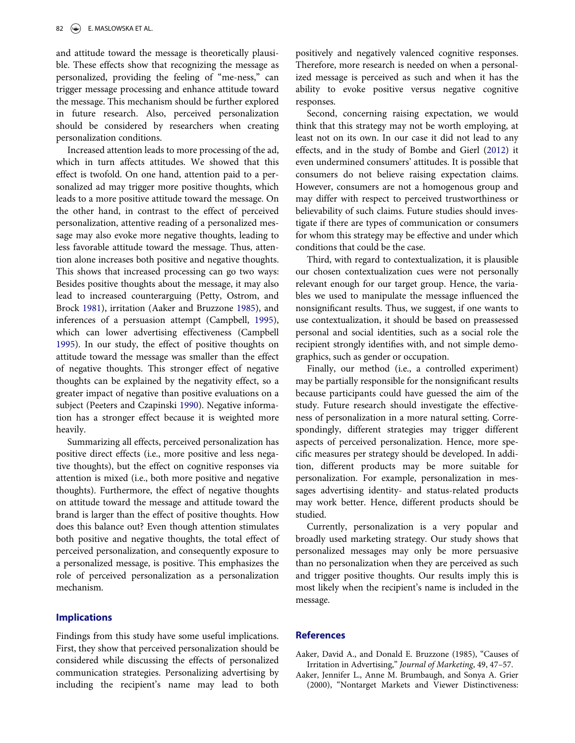and attitude toward the message is theoretically plausible. These effects show that recognizing the message as personalized, providing the feeling of "me-ness," can trigger message processing and enhance attitude toward the message. This mechanism should be further explored in future research. Also, perceived personalization should be considered by researchers when creating personalization conditions.

Increased attention leads to more processing of the ad, which in turn affects attitudes. We showed that this effect is twofold. On one hand, attention paid to a personalized ad may trigger more positive thoughts, which leads to a more positive attitude toward the message. On the other hand, in contrast to the effect of perceived personalization, attentive reading of a personalized message may also evoke more negative thoughts, leading to less favorable attitude toward the message. Thus, attention alone increases both positive and negative thoughts. This shows that increased processing can go two ways: Besides positive thoughts about the message, it may also lead to increased counterarguing (Petty, Ostrom, and Brock [1981\)](#page-11-17), irritation (Aaker and Bruzzone [1985](#page-9-1)), and inferences of a persuasion attempt (Campbell, [1995](#page-10-31)), which can lower advertising effectiveness (Campbell [1995\)](#page-10-31). In our study, the effect of positive thoughts on attitude toward the message was smaller than the effect of negative thoughts. This stronger effect of negative thoughts can be explained by the negativity effect, so a greater impact of negative than positive evaluations on a subject (Peeters and Czapinski [1990](#page-11-19)). Negative information has a stronger effect because it is weighted more heavily.

Summarizing all effects, perceived personalization has positive direct effects (i.e., more positive and less negative thoughts), but the effect on cognitive responses via attention is mixed (i.e., both more positive and negative thoughts). Furthermore, the effect of negative thoughts on attitude toward the message and attitude toward the brand is larger than the effect of positive thoughts. How does this balance out? Even though attention stimulates both positive and negative thoughts, the total effect of perceived personalization, and consequently exposure to a personalized message, is positive. This emphasizes the role of perceived personalization as a personalization mechanism.

## Implications

<span id="page-9-1"></span><span id="page-9-0"></span>Findings from this study have some useful implications. First, they show that perceived personalization should be considered while discussing the effects of personalized communication strategies. Personalizing advertising by including the recipient's name may lead to both positively and negatively valenced cognitive responses. Therefore, more research is needed on when a personalized message is perceived as such and when it has the ability to evoke positive versus negative cognitive responses.

Second, concerning raising expectation, we would think that this strategy may not be worth employing, at least not on its own. In our case it did not lead to any effects, and in the study of Bombe and Gierl ([2012\)](#page-10-14) it even undermined consumers' attitudes. It is possible that consumers do not believe raising expectation claims. However, consumers are not a homogenous group and may differ with respect to perceived trustworthiness or believability of such claims. Future studies should investigate if there are types of communication or consumers for whom this strategy may be effective and under which conditions that could be the case.

Third, with regard to contextualization, it is plausible our chosen contextualization cues were not personally relevant enough for our target group. Hence, the variables we used to manipulate the message influenced the nonsignificant results. Thus, we suggest, if one wants to use contextualization, it should be based on preassessed personal and social identities, such as a social role the recipient strongly identifies with, and not simple demographics, such as gender or occupation.

Finally, our method (i.e., a controlled experiment) may be partially responsible for the nonsignificant results because participants could have guessed the aim of the study. Future research should investigate the effectiveness of personalization in a more natural setting. Correspondingly, different strategies may trigger different aspects of perceived personalization. Hence, more specific measures per strategy should be developed. In addition, different products may be more suitable for personalization. For example, personalization in messages advertising identity- and status-related products may work better. Hence, different products should be studied.

Currently, personalization is a very popular and broadly used marketing strategy. Our study shows that personalized messages may only be more persuasive than no personalization when they are perceived as such and trigger positive thoughts. Our results imply this is most likely when the recipient's name is included in the message.

#### **References**

Aaker, David A., and Donald E. Bruzzone (1985), "Causes of Irritation in Advertising," Journal of Marketing, 49, 47–57.

Aaker, Jennifer L., Anne M. Brumbaugh, and Sonya A. Grier (2000), "Nontarget Markets and Viewer Distinctiveness: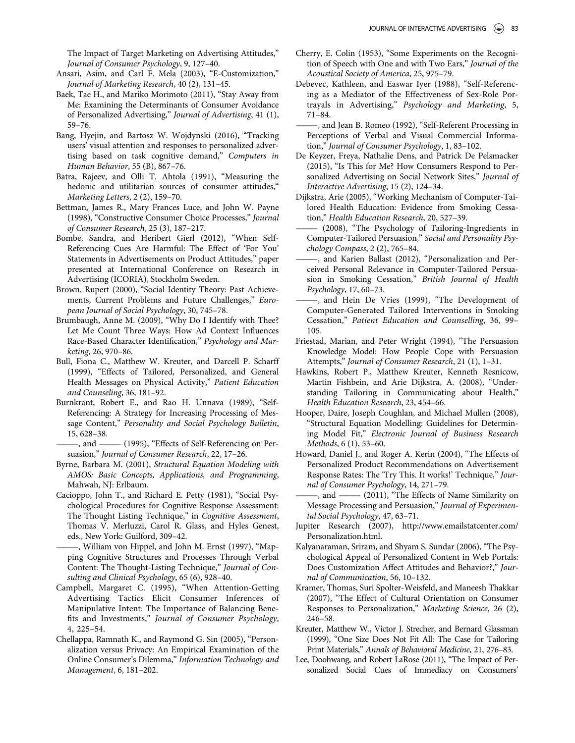The Impact of Target Marketing on Advertising Attitudes," Journal of Consumer Psychology, 9, 127–40.

- <span id="page-10-27"></span><span id="page-10-16"></span><span id="page-10-12"></span>Ansari, Asim, and Carl F. Mela (2003), "E-Customization," Journal of Marketing Research, 40 (2), 131–45.
- <span id="page-10-0"></span>Baek, Tae H., and Mariko Morimoto (2011), "Stay Away from Me: Examining the Determinants of Consumer Avoidance of Personalized Advertising," Journal of Advertising, 41 (1), 59–76.
- <span id="page-10-28"></span><span id="page-10-9"></span>Bang, Hyejin, and Bartosz W. Wojdynski (2016), "Tracking users' visual attention and responses to personalized advertising based on task cognitive demand," Computers in Human Behavior, 55 (B), 867–76.
- Batra, Rajeev, and Olli T. Ahtola (1991), "Measuring the hedonic and utilitarian sources of consumer attitudes," Marketing Letters, 2 (2), 159–70.
- <span id="page-10-8"></span><span id="page-10-7"></span>Bettman, James R., Mary Frances Luce, and John W. Payne (1998), "Constructive Consumer Choice Processes," Journal of Consumer Research, 25 (3), 187–217.
- <span id="page-10-14"></span><span id="page-10-4"></span><span id="page-10-1"></span>Bombe, Sandra, and Heribert Gierl (2012), "When Self-Referencing Cues Are Harmful: The Effect of 'For You' Statements in Advertisements on Product Attitudes," paper presented at International Conference on Research in Advertising (ICORIA), Stockholm Sweden.
- <span id="page-10-19"></span><span id="page-10-5"></span>Brown, Rupert (2000), "Social Identity Theory: Past Achievements, Current Problems and Future Challenges," European Journal of Social Psychology, 30, 745–78.
- <span id="page-10-30"></span><span id="page-10-29"></span>Brumbaugh, Anne M. (2009), "Why Do I Identify with Thee? Let Me Count Three Ways: How Ad Context Influences Race-Based Character Identification," Psychology and Marketing, 26, 970–86.
- <span id="page-10-11"></span><span id="page-10-10"></span>Bull, Fiona C., Matthew W. Kreuter, and Darcell P. Scharff (1999), "Effects of Tailored, Personalized, and General Health Messages on Physical Activity," Patient Education and Counseling, 36, 181–92.
- <span id="page-10-25"></span><span id="page-10-22"></span>Burnkrant, Robert E., and Rao H. Unnava (1989), "Self-Referencing: A Strategy for Increasing Processing of Message Content," Personality and Social Psychology Bulletin, 15, 628–38.
- <span id="page-10-15"></span>-, and - (1995), "Effects of Self-Referencing on Persuasion," Journal of Consumer Research, 22, 17–26.
- <span id="page-10-26"></span><span id="page-10-3"></span>Byrne, Barbara M. (2001), Structural Equation Modeling with AMOS: Basic Concepts, Applications, and Programming, Mahwah, NJ: Erlbaum.
- <span id="page-10-23"></span><span id="page-10-17"></span>Cacioppo, John T., and Richard E. Petty (1981), "Social Psychological Procedures for Cognitive Response Assessment: The Thought Listing Technique," in Cognitive Assessment, Thomas V. Merluzzi, Carol R. Glass, and Hyles Genest, eds., New York: Guilford, 309–42.
- <span id="page-10-24"></span><span id="page-10-21"></span><span id="page-10-2"></span>-, William von Hippel, and John M. Ernst (1997), "Mapping Cognitive Structures and Processes Through Verbal Content: The Thought-Listing Technique," Journal of Consulting and Clinical Psychology, 65 (6), 928–40.
- <span id="page-10-31"></span><span id="page-10-6"></span>Campbell, Margaret C. (1995), "When Attention-Getting Advertising Tactics Elicit Consumer Inferences of Manipulative Intent: The Importance of Balancing Benefits and Investments," Journal of Consumer Psychology, 4, 225–54.
- <span id="page-10-20"></span><span id="page-10-18"></span><span id="page-10-13"></span>Chellappa, Ramnath K., and Raymond G. Sin (2005), "Personalization versus Privacy: An Empirical Examination of the Online Consumer's Dilemma," Information Technology and Management, 6, 181–202.
- Cherry, E. Colin (1953), "Some Experiments on the Recognition of Speech with One and with Two Ears," Journal of the Acoustical Society of America, 25, 975–79.
- Debevec, Kathleen, and Easwar Iyer (1988), "Self-Referencing as a Mediator of the Effectiveness of Sex-Role Portrayals in Advertising," Psychology and Marketing, 5, 71–84.
- -, and Jean B. Romeo (1992), "Self-Referent Processing in Perceptions of Verbal and Visual Commercial Information," Journal of Consumer Psychology, 1, 83–102.
- De Keyzer, Freya, Nathalie Dens, and Patrick De Pelsmacker (2015), "Is This for Me? How Consumers Respond to Personalized Advertising on Social Network Sites," Journal of Interactive Advertising, 15 (2), 124–34.
- Dijkstra, Arie (2005), "Working Mechanism of Computer-Tailored Health Education: Evidence from Smoking Cessation," Health Education Research, 20, 527–39.
- (2008), "The Psychology of Tailoring-Ingredients in Computer-Tailored Persuasion," Social and Personality Psychology Compass, 2 (2), 765–84.
- ———, and Karien Ballast (2012), "Personalization and Perceived Personal Relevance in Computer-Tailored Persuasion in Smoking Cessation," British Journal of Health Psychology, 17, 60–73.
- ———, and Hein De Vries (1999), "The Development of Computer-Generated Tailored Interventions in Smoking Cessation," Patient Education and Counselling, 36, 99– 105.
- Friestad, Marian, and Peter Wright (1994), "The Persuasion Knowledge Model: How People Cope with Persuasion Attempts," Journal of Consumer Research, 21 (1), 1–31.
- Hawkins, Robert P., Matthew Kreuter, Kenneth Resnicow, Martin Fishbein, and Arie Dijkstra, A. (2008), "Understanding Tailoring in Communicating about Health," Health Education Research, 23, 454–66.
- Hooper, Daire, Joseph Coughlan, and Michael Mullen (2008), "Structural Equation Modelling: Guidelines for Determining Model Fit," Electronic Journal of Business Research Methods, 6 (1), 53–60.
- Howard, Daniel J., and Roger A. Kerin (2004), "The Effects of Personalized Product Recommendations on Advertisement Response Rates: The 'Try This. It works!' Technique," Journal of Consumer Psychology, 14, 271–79.
- -, and —— (2011), "The Effects of Name Similarity on Message Processing and Persuasion," Journal of Experimental Social Psychology, 47, 63–71.
- Jupiter Research (2007), [http://www.emailstatcenter.com/](http://www.emailstatcenter.com/Personalization.html) [Personalization.html](http://www.emailstatcenter.com/Personalization.html).
- Kalyanaraman, Sriram, and Shyam S. Sundar (2006), "The Psychological Appeal of Personalized Content in Web Portals: Does Customization Affect Attitudes and Behavior?," Journal of Communication, 56, 10–132.
- Kramer, Thomas, Suri Spolter-Weisfeld, and Maneesh Thakkar (2007), "The Effect of Cultural Orientation on Consumer Responses to Personalization," Marketing Science, 26 (2), 246–58.
- Kreuter, Matthew W., Victor J. Strecher, and Bernard Glassman (1999), "One Size Does Not Fit All: The Case for Tailoring Print Materials," Annals of Behavioral Medicine, 21, 276–83.
- Lee, Doohwang, and Robert LaRose (2011), "The Impact of Personalized Social Cues of Immediacy on Consumers'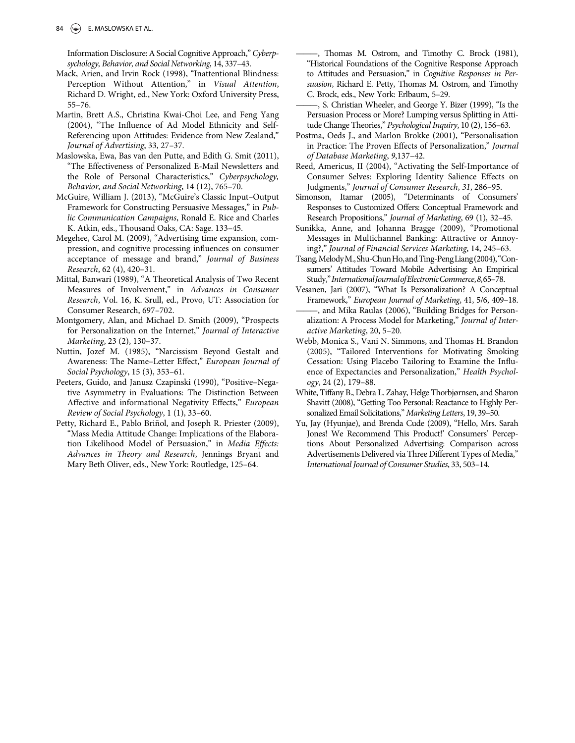Information Disclosure: A Social Cognitive Approach," Cyberpsychology, Behavior, and Social Networking, 14, 337–43.

- <span id="page-11-18"></span><span id="page-11-17"></span>Mack, Arien, and Irvin Rock (1998), "Inattentional Blindness: Perception Without Attention," in Visual Attention, Richard D. Wright, ed., New York: Oxford University Press, 55–76.
- <span id="page-11-13"></span><span id="page-11-3"></span>Martin, Brett A.S., Christina Kwai-Choi Lee, and Feng Yang (2004), "The Influence of Ad Model Ethnicity and Self-Referencing upon Attitudes: Evidence from New Zealand," Journal of Advertising, 33, 27–37.
- <span id="page-11-12"></span><span id="page-11-4"></span>Maslowska, Ewa, Bas van den Putte, and Edith G. Smit (2011), "The Effectiveness of Personalized E-Mail Newsletters and the Role of Personal Characteristics," Cyberpsychology, Behavior, and Social Networking, 14 (12), 765–70.
- <span id="page-11-15"></span><span id="page-11-7"></span>McGuire, William J. (2013), "McGuire's Classic Input–Output Framework for Constructing Persuasive Messages," in Public Communication Campaigns, Ronald E. Rice and Charles K. Atkin, eds., Thousand Oaks, CA: Sage. 133–45.
- <span id="page-11-5"></span><span id="page-11-2"></span>Megehee, Carol M. (2009), "Advertising time expansion, compression, and cognitive processing influences on consumer acceptance of message and brand," Journal of Business Research, 62 (4), 420–31.
- <span id="page-11-16"></span><span id="page-11-8"></span>Mittal, Banwari (1989), "A Theoretical Analysis of Two Recent Measures of Involvement," in Advances in Consumer Research, Vol. 16, K. Srull, ed., Provo, UT: Association for Consumer Research, 697–702.
- <span id="page-11-10"></span><span id="page-11-1"></span>Montgomery, Alan, and Michael D. Smith (2009), "Prospects for Personalization on the Internet," Journal of Interactive Marketing, 23 (2), 130–37.
- <span id="page-11-11"></span><span id="page-11-9"></span>Nuttin, Jozef M. (1985), "Narcissism Beyond Gestalt and Awareness: The Name-Letter Effect," European Journal of Social Psychology, 15 (3), 353–61.
- <span id="page-11-19"></span><span id="page-11-0"></span>Peeters, Guido, and Janusz Czapinski (1990), "Positive–Negative Asymmetry in Evaluations: The Distinction Between Affective and informational Negativity Effects," European Review of Social Psychology, 1 (1), 33–60.
- <span id="page-11-14"></span><span id="page-11-6"></span>Petty, Richard E., Pablo Briñol, and Joseph R. Priester (2009), "Mass Media Attitude Change: Implications of the Elaboration Likelihood Model of Persuasion," in Media Effects: Advances in Theory and Research, Jennings Bryant and Mary Beth Oliver, eds., New York: Routledge, 125–64.
- ———, Thomas M. Ostrom, and Timothy C. Brock (1981), "Historical Foundations of the Cognitive Response Approach to Attitudes and Persuasion," in Cognitive Responses in Persuasion, Richard E. Petty, Thomas M. Ostrom, and Timothy C. Brock, eds., New York: Erlbaum, 5–29.
- -, S. Christian Wheeler, and George Y. Bizer (1999), "Is the Persuasion Process or More? Lumping versus Splitting in Attitude Change Theories," Psychological Inquiry, 10 (2), 156–63.
- Postma, Oeds J., and Marlon Brokke (2001), "Personalisation in Practice: The Proven Effects of Personalization," Journal of Database Marketing, 9,137–42.
- Reed, Americus, II (2004), "Activating the Self-Importance of Consumer Selves: Exploring Identity Salience Effects on Judgments," Journal of Consumer Research, 31, 286–95.
- Simonson, Itamar (2005), "Determinants of Consumers' Responses to Customized Offers: Conceptual Framework and Research Propositions," Journal of Marketing, 69 (1), 32–45.
- Sunikka, Anne, and Johanna Bragge (2009), "Promotional Messages in Multichannel Banking: Attractive or Annoying?," Journal of Financial Services Marketing, 14, 245–63.
- Tsang,MelodyM.,Shu-ChunHo,andTing-PengLiang(2004),"Consumers' Attitudes Toward Mobile Advertising: An Empirical Study,"InternationalJournalofElectronicCommerce,8,65–78.
- Vesanen, Jari (2007), "What Is Personalization? A Conceptual Framework," European Journal of Marketing, 41, 5/6, 409–18.
- -, and Mika Raulas (2006), "Building Bridges for Personalization: A Process Model for Marketing," Journal of Interactive Marketing, 20, 5–20.
- Webb, Monica S., Vani N. Simmons, and Thomas H. Brandon (2005), "Tailored Interventions for Motivating Smoking Cessation: Using Placebo Tailoring to Examine the Influence of Expectancies and Personalization," Health Psychology, 24 (2), 179–88.
- White, Tiffany B., Debra L. Zahay, Helge Thorbjørnsen, and Sharon Shavitt (2008), "Getting Too Personal: Reactance to Highly Personalized Email Solicitations," Marketing Letters, 19, 39–50.
- Yu, Jay (Hyunjae), and Brenda Cude (2009), "Hello, Mrs. Sarah Jones! We Recommend This Product!' Consumers' Perceptions About Personalized Advertising: Comparison across Advertisements Delivered via Three Different Types of Media," International Journal of Consumer Studies, 33, 503–14.